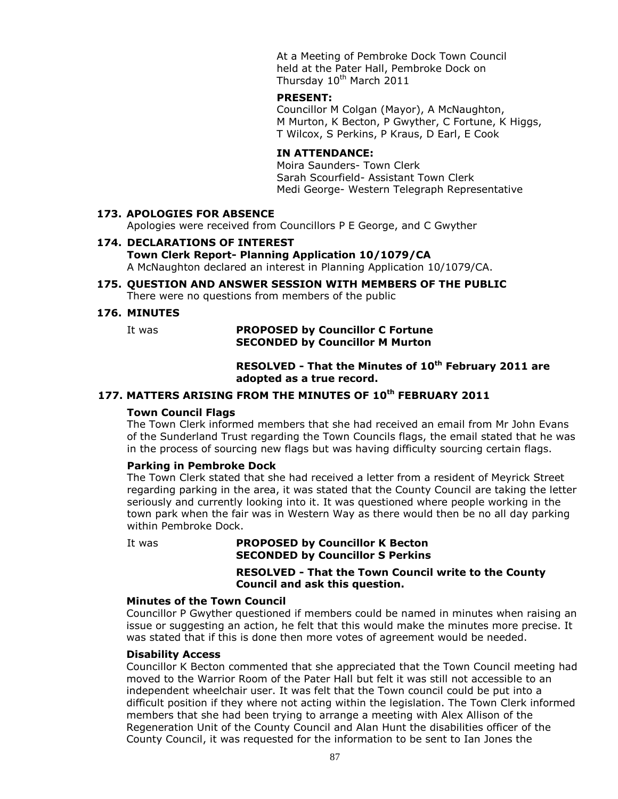At a Meeting of Pembroke Dock Town Council held at the Pater Hall, Pembroke Dock on Thursday 10<sup>th</sup> March 2011

#### **PRESENT:**

Councillor M Colgan (Mayor), A McNaughton, M Murton, K Becton, P Gwyther, C Fortune, K Higgs, T Wilcox, S Perkins, P Kraus, D Earl, E Cook

# **IN ATTENDANCE:**

Moira Saunders- Town Clerk Sarah Scourfield- Assistant Town Clerk Medi George- Western Telegraph Representative

#### **173. APOLOGIES FOR ABSENCE**

Apologies were received from Councillors P E George, and C Gwyther

#### **174. DECLARATIONS OF INTEREST Town Clerk Report- Planning Application 10/1079/CA** A McNaughton declared an interest in Planning Application 10/1079/CA.

#### **175. QUESTION AND ANSWER SESSION WITH MEMBERS OF THE PUBLIC** There were no questions from members of the public

#### **176. MINUTES**

### It was **PROPOSED by Councillor C Fortune SECONDED by Councillor M Murton**

# **RESOLVED - That the Minutes of 10th February 2011 are adopted as a true record.**

# **177. MATTERS ARISING FROM THE MINUTES OF 10th FEBRUARY 2011**

### **Town Council Flags**

The Town Clerk informed members that she had received an email from Mr John Evans of the Sunderland Trust regarding the Town Councils flags, the email stated that he was in the process of sourcing new flags but was having difficulty sourcing certain flags.

# **Parking in Pembroke Dock**

The Town Clerk stated that she had received a letter from a resident of Meyrick Street regarding parking in the area, it was stated that the County Council are taking the letter seriously and currently looking into it. It was questioned where people working in the town park when the fair was in Western Way as there would then be no all day parking within Pembroke Dock.

#### It was **PROPOSED by Councillor K Becton SECONDED by Councillor S Perkins**

**RESOLVED - That the Town Council write to the County Council and ask this question.**

### **Minutes of the Town Council**

Councillor P Gwyther questioned if members could be named in minutes when raising an issue or suggesting an action, he felt that this would make the minutes more precise. It was stated that if this is done then more votes of agreement would be needed.

### **Disability Access**

Councillor K Becton commented that she appreciated that the Town Council meeting had moved to the Warrior Room of the Pater Hall but felt it was still not accessible to an independent wheelchair user. It was felt that the Town council could be put into a difficult position if they where not acting within the legislation. The Town Clerk informed members that she had been trying to arrange a meeting with Alex Allison of the Regeneration Unit of the County Council and Alan Hunt the disabilities officer of the County Council, it was requested for the information to be sent to Ian Jones the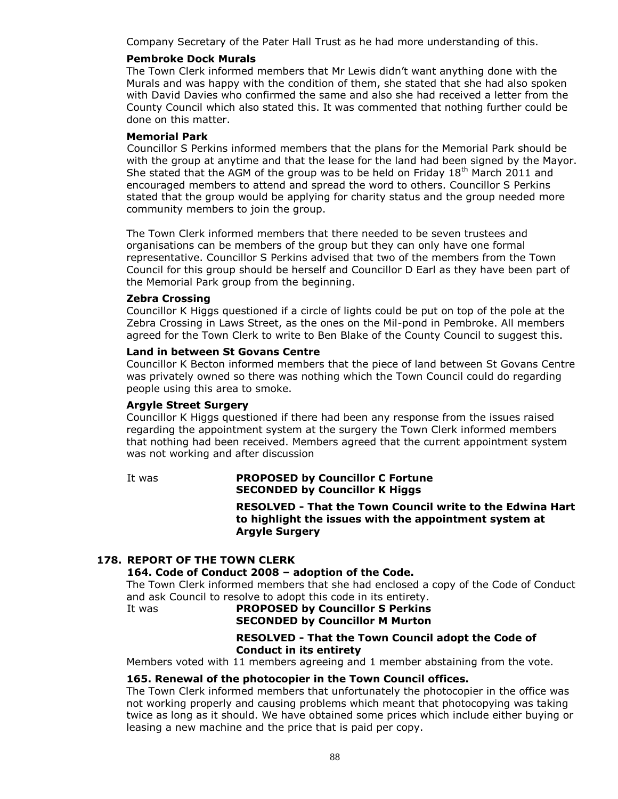Company Secretary of the Pater Hall Trust as he had more understanding of this.

### **Pembroke Dock Murals**

The Town Clerk informed members that Mr Lewis didn't want anything done with the Murals and was happy with the condition of them, she stated that she had also spoken with David Davies who confirmed the same and also she had received a letter from the County Council which also stated this. It was commented that nothing further could be done on this matter.

# **Memorial Park**

Councillor S Perkins informed members that the plans for the Memorial Park should be with the group at anytime and that the lease for the land had been signed by the Mayor. She stated that the AGM of the group was to be held on Friday  $18<sup>th</sup>$  March 2011 and encouraged members to attend and spread the word to others. Councillor S Perkins stated that the group would be applying for charity status and the group needed more community members to join the group.

The Town Clerk informed members that there needed to be seven trustees and organisations can be members of the group but they can only have one formal representative. Councillor S Perkins advised that two of the members from the Town Council for this group should be herself and Councillor D Earl as they have been part of the Memorial Park group from the beginning.

### **Zebra Crossing**

Councillor K Higgs questioned if a circle of lights could be put on top of the pole at the Zebra Crossing in Laws Street, as the ones on the Mil-pond in Pembroke. All members agreed for the Town Clerk to write to Ben Blake of the County Council to suggest this.

### **Land in between St Govans Centre**

Councillor K Becton informed members that the piece of land between St Govans Centre was privately owned so there was nothing which the Town Council could do regarding people using this area to smoke.

# **Argyle Street Surgery**

Councillor K Higgs questioned if there had been any response from the issues raised regarding the appointment system at the surgery the Town Clerk informed members that nothing had been received. Members agreed that the current appointment system was not working and after discussion

### It was **PROPOSED by Councillor C Fortune SECONDED by Councillor K Higgs**

**RESOLVED - That the Town Council write to the Edwina Hart to highlight the issues with the appointment system at Argyle Surgery**

# **178. REPORT OF THE TOWN CLERK**

# **164. Code of Conduct 2008 – adoption of the Code.**

The Town Clerk informed members that she had enclosed a copy of the Code of Conduct and ask Council to resolve to adopt this code in its entirety.

# It was **PROPOSED by Councillor S Perkins SECONDED by Councillor M Murton**

## **RESOLVED - That the Town Council adopt the Code of Conduct in its entirety**

Members voted with 11 members agreeing and 1 member abstaining from the vote.

### **165. Renewal of the photocopier in the Town Council offices.**

The Town Clerk informed members that unfortunately the photocopier in the office was not working properly and causing problems which meant that photocopying was taking twice as long as it should. We have obtained some prices which include either buying or leasing a new machine and the price that is paid per copy.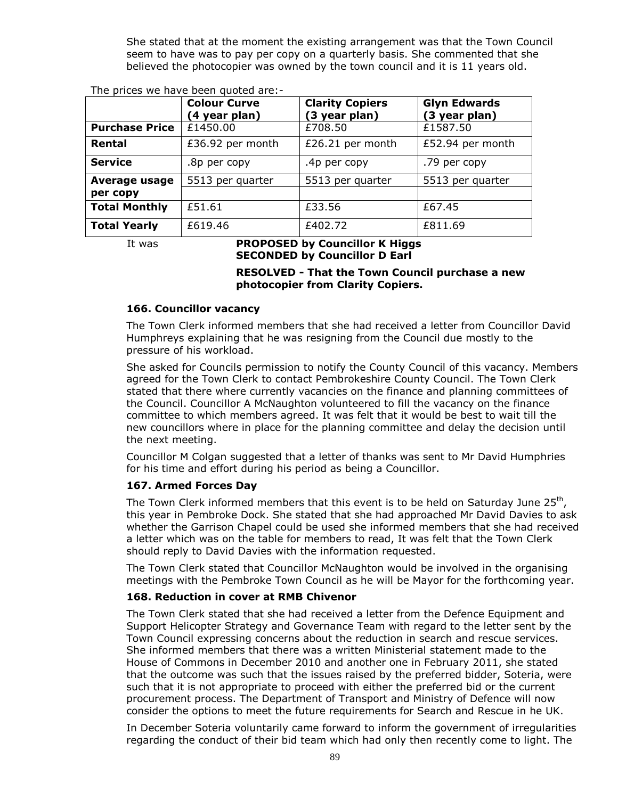She stated that at the moment the existing arrangement was that the Town Council seem to have was to pay per copy on a quarterly basis. She commented that she believed the photocopier was owned by the town council and it is 11 years old.

|                       | <b>Colour Curve</b><br>(4 year plan) | <b>Clarity Copiers</b><br>(3 year plan) | <b>Glyn Edwards</b><br>(3 year plan) |
|-----------------------|--------------------------------------|-----------------------------------------|--------------------------------------|
| <b>Purchase Price</b> | £1450.00                             | £708.50                                 | £1587.50                             |
| Rental                | £36.92 per month                     | £26.21 per month                        | £52.94 per month                     |
| <b>Service</b>        | .8p per copy                         | .4p per copy                            | .79 per copy                         |
| Average usage         | 5513 per quarter                     | 5513 per quarter                        | 5513 per quarter                     |
| per copy              |                                      |                                         |                                      |
| <b>Total Monthly</b>  | £51.61                               | £33.56                                  | £67.45                               |
| <b>Total Yearly</b>   | £619.46                              | £402.72                                 | £811.69                              |

The prices we have been quoted are:-

### It was **PROPOSED by Councillor K Higgs SECONDED by Councillor D Earl**

**RESOLVED - That the Town Council purchase a new photocopier from Clarity Copiers.**

# **166. Councillor vacancy**

The Town Clerk informed members that she had received a letter from Councillor David Humphreys explaining that he was resigning from the Council due mostly to the pressure of his workload.

She asked for Councils permission to notify the County Council of this vacancy. Members agreed for the Town Clerk to contact Pembrokeshire County Council. The Town Clerk stated that there where currently vacancies on the finance and planning committees of the Council. Councillor A McNaughton volunteered to fill the vacancy on the finance committee to which members agreed. It was felt that it would be best to wait till the new councillors where in place for the planning committee and delay the decision until the next meeting.

Councillor M Colgan suggested that a letter of thanks was sent to Mr David Humphries for his time and effort during his period as being a Councillor.

# **167. Armed Forces Day**

The Town Clerk informed members that this event is to be held on Saturday June 25<sup>th</sup>, this year in Pembroke Dock. She stated that she had approached Mr David Davies to ask whether the Garrison Chapel could be used she informed members that she had received a letter which was on the table for members to read, It was felt that the Town Clerk should reply to David Davies with the information requested.

The Town Clerk stated that Councillor McNaughton would be involved in the organising meetings with the Pembroke Town Council as he will be Mayor for the forthcoming year.

# **168. Reduction in cover at RMB Chivenor**

The Town Clerk stated that she had received a letter from the Defence Equipment and Support Helicopter Strategy and Governance Team with regard to the letter sent by the Town Council expressing concerns about the reduction in search and rescue services. She informed members that there was a written Ministerial statement made to the House of Commons in December 2010 and another one in February 2011, she stated that the outcome was such that the issues raised by the preferred bidder, Soteria, were such that it is not appropriate to proceed with either the preferred bid or the current procurement process. The Department of Transport and Ministry of Defence will now consider the options to meet the future requirements for Search and Rescue in he UK.

In December Soteria voluntarily came forward to inform the government of irregularities regarding the conduct of their bid team which had only then recently come to light. The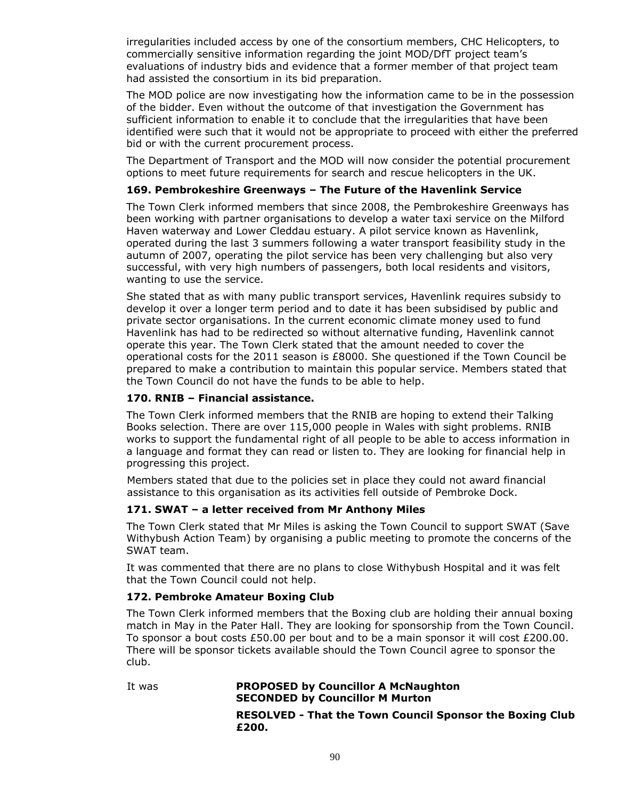irregularities included access by one of the consortium members, CHC Helicopters, to commercially sensitive information regarding the joint MOD/DfT project team's evaluations of industry bids and evidence that a former member of that project team had assisted the consortium in its bid preparation.

The MOD police are now investigating how the information came to be in the possession of the bidder. Even without the outcome of that investigation the Government has sufficient information to enable it to conclude that the irregularities that have been identified were such that it would not be appropriate to proceed with either the preferred bid or with the current procurement process.

The Department of Transport and the MOD will now consider the potential procurement options to meet future requirements for search and rescue helicopters in the UK.

# **169. Pembrokeshire Greenways – The Future of the Havenlink Service**

The Town Clerk informed members that since 2008, the Pembrokeshire Greenways has been working with partner organisations to develop a water taxi service on the Milford Haven waterway and Lower Cleddau estuary. A pilot service known as Havenlink, operated during the last 3 summers following a water transport feasibility study in the autumn of 2007, operating the pilot service has been very challenging but also very successful, with very high numbers of passengers, both local residents and visitors, wanting to use the service.

She stated that as with many public transport services, Havenlink requires subsidy to develop it over a longer term period and to date it has been subsidised by public and private sector organisations. In the current economic climate money used to fund Havenlink has had to be redirected so without alternative funding, Havenlink cannot operate this year. The Town Clerk stated that the amount needed to cover the operational costs for the 2011 season is £8000. She questioned if the Town Council be prepared to make a contribution to maintain this popular service. Members stated that the Town Council do not have the funds to be able to help.

## **170. RNIB – Financial assistance.**

The Town Clerk informed members that the RNIB are hoping to extend their Talking Books selection. There are over 115,000 people in Wales with sight problems. RNIB works to support the fundamental right of all people to be able to access information in a language and format they can read or listen to. They are looking for financial help in progressing this project.

Members stated that due to the policies set in place they could not award financial assistance to this organisation as its activities fell outside of Pembroke Dock.

# **171. SWAT – a letter received from Mr Anthony Miles**

The Town Clerk stated that Mr Miles is asking the Town Council to support SWAT (Save Withybush Action Team) by organising a public meeting to promote the concerns of the SWAT team.

It was commented that there are no plans to close Withybush Hospital and it was felt that the Town Council could not help.

# **172. Pembroke Amateur Boxing Club**

The Town Clerk informed members that the Boxing club are holding their annual boxing match in May in the Pater Hall. They are looking for sponsorship from the Town Council. To sponsor a bout costs £50.00 per bout and to be a main sponsor it will cost £200.00. There will be sponsor tickets available should the Town Council agree to sponsor the club.

It was **PROPOSED by Councillor A McNaughton SECONDED by Councillor M Murton RESOLVED - That the Town Council Sponsor the Boxing Club £200.**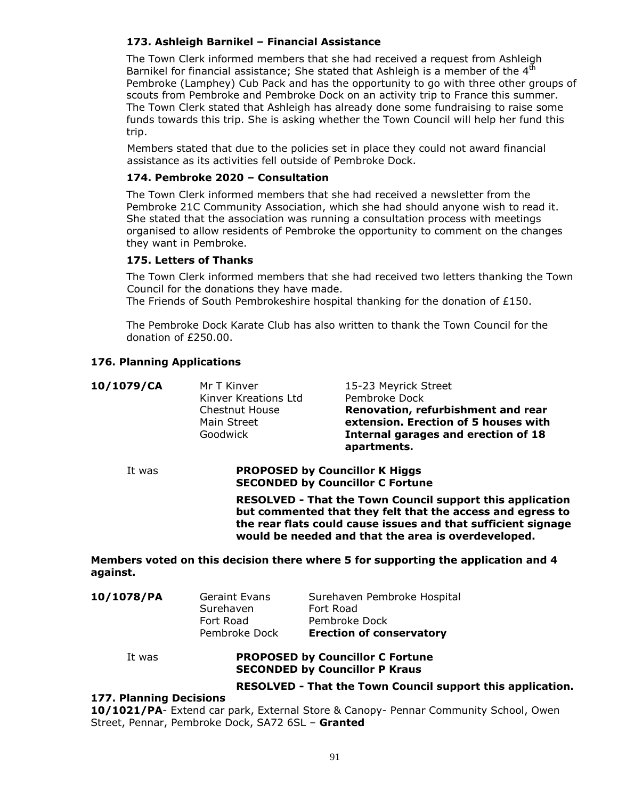# **173. Ashleigh Barnikel – Financial Assistance**

The Town Clerk informed members that she had received a request from Ashleigh Barnikel for financial assistance; She stated that Ashleigh is a member of the 4<sup>th</sup> Pembroke (Lamphey) Cub Pack and has the opportunity to go with three other groups of scouts from Pembroke and Pembroke Dock on an activity trip to France this summer. The Town Clerk stated that Ashleigh has already done some fundraising to raise some funds towards this trip. She is asking whether the Town Council will help her fund this trip.

Members stated that due to the policies set in place they could not award financial assistance as its activities fell outside of Pembroke Dock.

# **174. Pembroke 2020 – Consultation**

The Town Clerk informed members that she had received a newsletter from the Pembroke 21C Community Association, which she had should anyone wish to read it. She stated that the association was running a consultation process with meetings organised to allow residents of Pembroke the opportunity to comment on the changes they want in Pembroke.

# **175. Letters of Thanks**

The Town Clerk informed members that she had received two letters thanking the Town Council for the donations they have made.

The Friends of South Pembrokeshire hospital thanking for the donation of £150.

The Pembroke Dock Karate Club has also written to thank the Town Council for the donation of £250.00.

# **176. Planning Applications**

| 10/1079/CA | Mr T Kinver<br>Kinver Kreations Ltd<br><b>Chestnut House</b><br>Main Street<br>Goodwick                                        | 15-23 Meyrick Street<br>Pembroke Dock<br>Renovation, refurbishment and rear<br>extension. Erection of 5 houses with<br>Internal garages and erection of 18<br>apartments. |  |
|------------|--------------------------------------------------------------------------------------------------------------------------------|---------------------------------------------------------------------------------------------------------------------------------------------------------------------------|--|
| It was     | <b>PROPOSED by Councillor K Higgs</b><br><b>SECONDED by Councillor C Fortune</b>                                               |                                                                                                                                                                           |  |
|            | <b>RESOLVED - That the Town Council support this application</b><br>but commented that they felt that the access and egress to |                                                                                                                                                                           |  |

**the rear flats could cause issues and that sufficient signage would be needed and that the area is overdeveloped.**

# **Members voted on this decision there where 5 for supporting the application and 4 against.**

| 10/1078/PA | <b>Geraint Evans</b><br>Surehaven | Surehaven Pembroke Hospital<br>Fort Road |
|------------|-----------------------------------|------------------------------------------|
|            | Fort Road                         | Pembroke Dock                            |
|            | Pembroke Dock                     | <b>Erection of conservatory</b>          |

# It was **PROPOSED by Councillor C Fortune SECONDED by Councillor P Kraus**

# **RESOLVED - That the Town Council support this application.**

# **177. Planning Decisions**

**10/1021/PA**- Extend car park, External Store & Canopy- Pennar Community School, Owen Street, Pennar, Pembroke Dock, SA72 6SL – **Granted**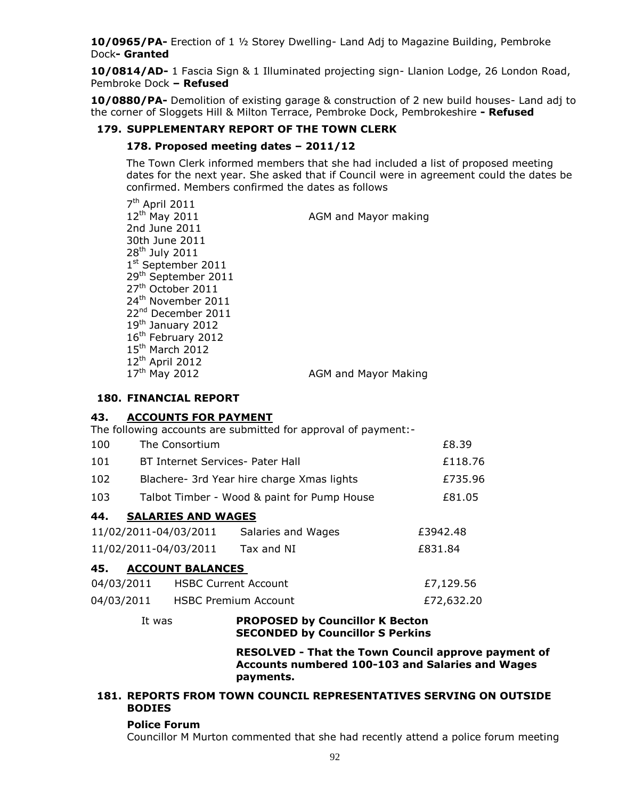**10/0965/PA-** Erection of 1 ½ Storey Dwelling- Land Adj to Magazine Building, Pembroke Dock**- Granted**

**10/0814/AD-** 1 Fascia Sign & 1 Illuminated projecting sign- Llanion Lodge, 26 London Road, Pembroke Dock **– Refused**

**10/0880/PA-** Demolition of existing garage & construction of 2 new build houses- Land adj to the corner of Sloggets Hill & Milton Terrace, Pembroke Dock, Pembrokeshire **- Refused**

# **179. SUPPLEMENTARY REPORT OF THE TOWN CLERK**

# **178. Proposed meeting dates – 2011/12**

The Town Clerk informed members that she had included a list of proposed meeting dates for the next year. She asked that if Council were in agreement could the dates be confirmed. Members confirmed the dates as follows

7<sup>th</sup> April 2011 12<sup>th</sup> May 2011 **AGM** and Mayor making 2nd June 2011 30th June 2011  $28<sup>th</sup>$  July 2011 1st September 2011 29th September 2011 27<sup>th</sup> October 2011 24<sup>th</sup> November 2011 22<sup>nd</sup> December 2011 19<sup>th</sup> January 2012 16<sup>th</sup> February 2012 15<sup>th</sup> March 2012 12th April 2012 17<sup>th</sup> May 2012 **AGM** and Mayor Making

### **180. FINANCIAL REPORT**

# **43. ACCOUNTS FOR PAYMENT**

The following accounts are submitted for approval of payment:-

| 100 | The Consortium                             | £8.39   |
|-----|--------------------------------------------|---------|
| 101 | BT Internet Services- Pater Hall           | £118.76 |
| 102 | Blachere- 3rd Year hire charge Xmas lights | £735.96 |

103 Talbot Timber - Wood & paint for Pump House £81.05

# **44. SALARIES AND WAGES**

| 11/02/2011-04/03/2011 | Salaries and Wages | £3942.48 |
|-----------------------|--------------------|----------|
| 11/02/2011-04/03/2011 | Tax and NI         | £831.84  |

# **45. ACCOUNT BALANCES**

| 04/03/2011 | <b>HSBC Current Account</b> | £7,129.56  |
|------------|-----------------------------|------------|
| 04/03/2011 | <b>HSBC Premium Account</b> | £72,632.20 |

# It was **PROPOSED by Councillor K Becton SECONDED by Councillor S Perkins**

**RESOLVED - That the Town Council approve payment of Accounts numbered 100-103 and Salaries and Wages payments.**

# **181. REPORTS FROM TOWN COUNCIL REPRESENTATIVES SERVING ON OUTSIDE BODIES**

### **Police Forum**

Councillor M Murton commented that she had recently attend a police forum meeting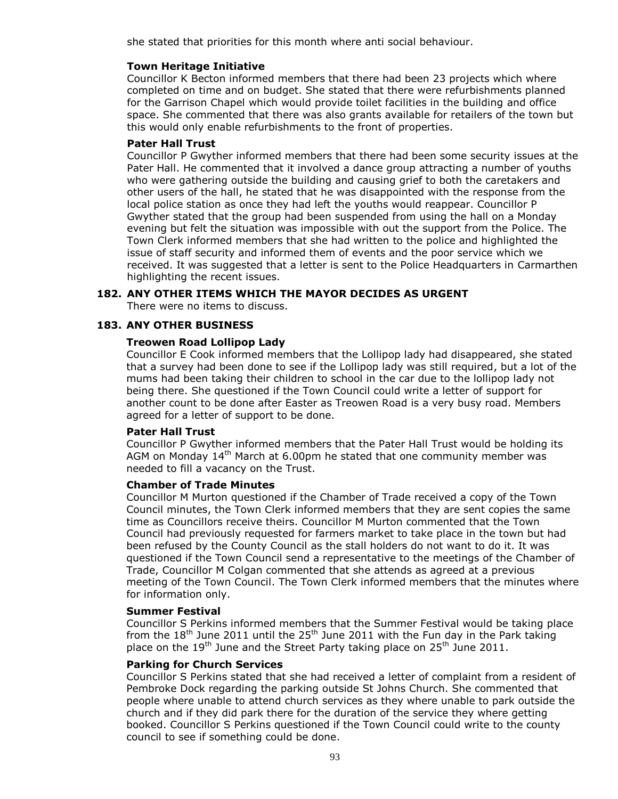she stated that priorities for this month where anti social behaviour.

# **Town Heritage Initiative**

Councillor K Becton informed members that there had been 23 projects which where completed on time and on budget. She stated that there were refurbishments planned for the Garrison Chapel which would provide toilet facilities in the building and office space. She commented that there was also grants available for retailers of the town but this would only enable refurbishments to the front of properties.

# **Pater Hall Trust**

Councillor P Gwyther informed members that there had been some security issues at the Pater Hall. He commented that it involved a dance group attracting a number of youths who were gathering outside the building and causing grief to both the caretakers and other users of the hall, he stated that he was disappointed with the response from the local police station as once they had left the youths would reappear. Councillor P Gwyther stated that the group had been suspended from using the hall on a Monday evening but felt the situation was impossible with out the support from the Police. The Town Clerk informed members that she had written to the police and highlighted the issue of staff security and informed them of events and the poor service which we received. It was suggested that a letter is sent to the Police Headquarters in Carmarthen highlighting the recent issues.

# **182. ANY OTHER ITEMS WHICH THE MAYOR DECIDES AS URGENT**

There were no items to discuss.

# **183. ANY OTHER BUSINESS**

### **Treowen Road Lollipop Lady**

Councillor E Cook informed members that the Lollipop lady had disappeared, she stated that a survey had been done to see if the Lollipop lady was still required, but a lot of the mums had been taking their children to school in the car due to the lollipop lady not being there. She questioned if the Town Council could write a letter of support for another count to be done after Easter as Treowen Road is a very busy road. Members agreed for a letter of support to be done.

### **Pater Hall Trust**

Councillor P Gwyther informed members that the Pater Hall Trust would be holding its AGM on Monday  $14<sup>th</sup>$  March at 6.00pm he stated that one community member was needed to fill a vacancy on the Trust.

### **Chamber of Trade Minutes**

Councillor M Murton questioned if the Chamber of Trade received a copy of the Town Council minutes, the Town Clerk informed members that they are sent copies the same time as Councillors receive theirs. Councillor M Murton commented that the Town Council had previously requested for farmers market to take place in the town but had been refused by the County Council as the stall holders do not want to do it. It was questioned if the Town Council send a representative to the meetings of the Chamber of Trade, Councillor M Colgan commented that she attends as agreed at a previous meeting of the Town Council. The Town Clerk informed members that the minutes where for information only.

### **Summer Festival**

Councillor S Perkins informed members that the Summer Festival would be taking place from the  $18<sup>th</sup>$  June 2011 until the  $25<sup>th</sup>$  June 2011 with the Fun day in the Park taking place on the  $19<sup>th</sup>$  June and the Street Party taking place on  $25<sup>th</sup>$  June 2011.

### **Parking for Church Services**

Councillor S Perkins stated that she had received a letter of complaint from a resident of Pembroke Dock regarding the parking outside St Johns Church. She commented that people where unable to attend church services as they where unable to park outside the church and if they did park there for the duration of the service they where getting booked. Councillor S Perkins questioned if the Town Council could write to the county council to see if something could be done.